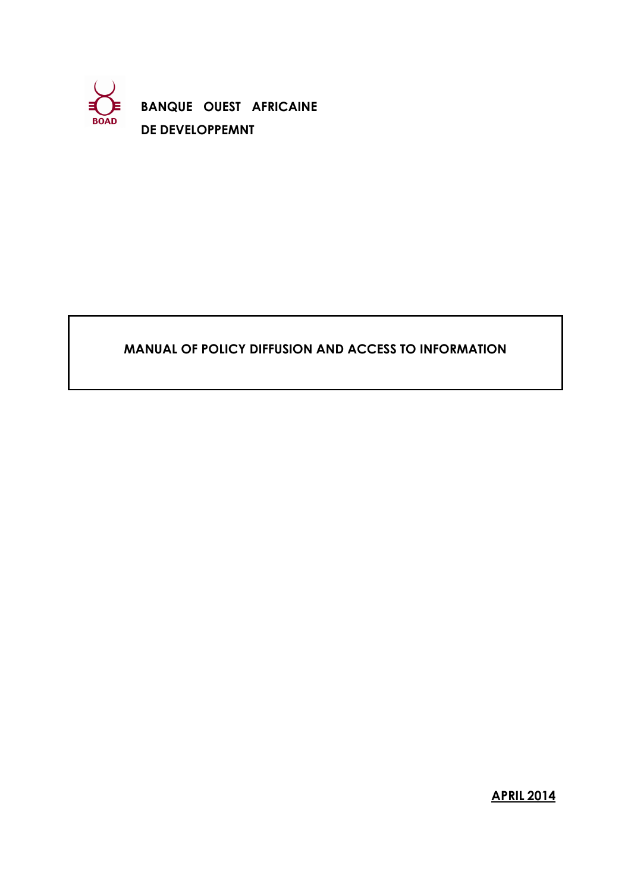

**BANQUE OUEST AFRICAINE DE DEVELOPPEMNT**

## **MANUAL OF POLICY DIFFUSION AND ACCESS TO INFORMATION**

**APRIL 2014**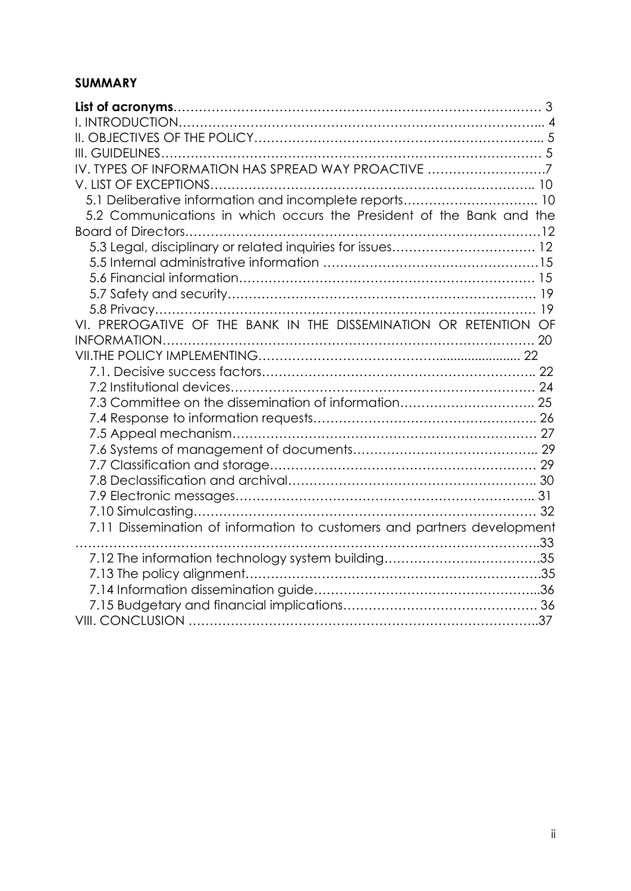## **SUMMARY**

| IV. TYPES OF INFORMATION HAS SPREAD WAY PROACTIVE 7                     |  |
|-------------------------------------------------------------------------|--|
|                                                                         |  |
| 5.1 Deliberative information and incomplete reports 10                  |  |
| 5.2 Communications in which occurs the President of the Bank and the    |  |
|                                                                         |  |
| 5.3 Legal, disciplinary or related inquiries for issues 12              |  |
|                                                                         |  |
|                                                                         |  |
|                                                                         |  |
|                                                                         |  |
| VI. PREROGATIVE OF THE BANK IN THE DISSEMINATION OR RETENTION OF        |  |
|                                                                         |  |
|                                                                         |  |
|                                                                         |  |
|                                                                         |  |
| 7.3 Committee on the dissemination of information 25                    |  |
|                                                                         |  |
|                                                                         |  |
|                                                                         |  |
|                                                                         |  |
|                                                                         |  |
|                                                                         |  |
|                                                                         |  |
| 7.11 Dissemination of information to customers and partners development |  |
|                                                                         |  |
| 7.12 The information technology system building35                       |  |
|                                                                         |  |
|                                                                         |  |
|                                                                         |  |
|                                                                         |  |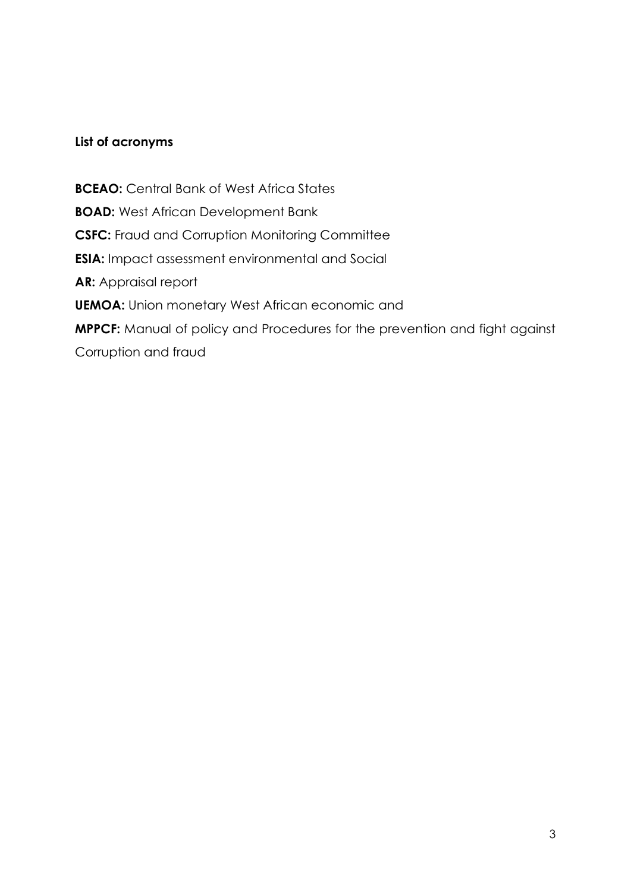#### **List of acronyms**

**BCEAO:** Central Bank of West Africa States **BOAD:** West African Development Bank **CSFC:** Fraud and Corruption Monitoring Committee **ESIA:** Impact assessment environmental and Social **AR:** Appraisal report **UEMOA:** Union monetary West African economic and **MPPCF:** Manual of policy and Procedures for the prevention and fight against Corruption and fraud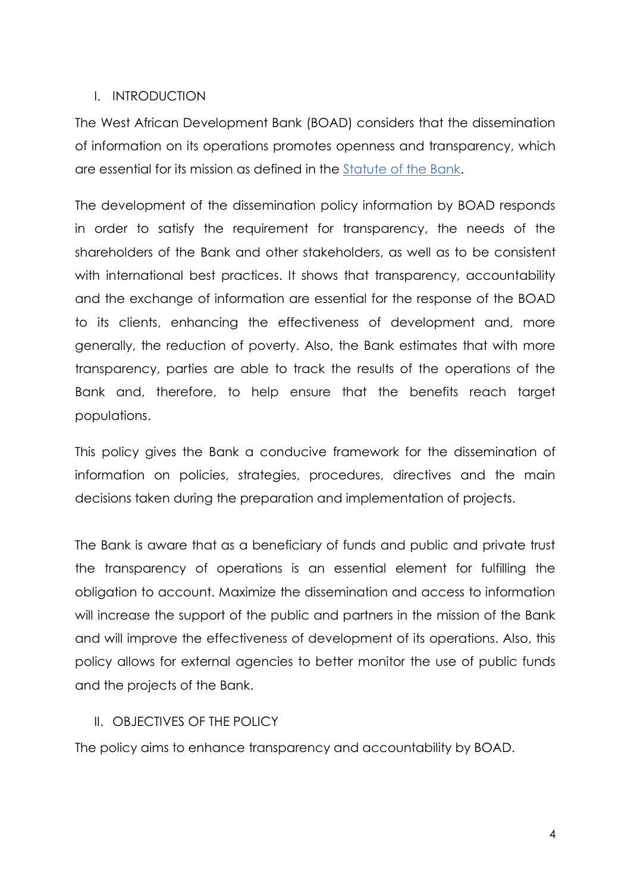#### I. INTRODUCTION

The West African Development Bank (BOAD) considers that the dissemination of information on its operations promotes openness and transparency, which are essential for its mission as defined in the Statute of the Bank.

The development of the dissemination policy information by BOAD responds in order to satisfy the requirement for transparency, the needs of the shareholders of the Bank and other stakeholders, as well as to be consistent with international best practices. It shows that transparency, accountability and the exchange of information are essential for the response of the BOAD to its clients, enhancing the effectiveness of development and, more generally, the reduction of poverty. Also, the Bank estimates that with more transparency, parties are able to track the results of the operations of the Bank and, therefore, to help ensure that the benefits reach target populations.

This policy gives the Bank a conducive framework for the dissemination of information on policies, strategies, procedures, directives and the main decisions taken during the preparation and implementation of projects.

The Bank is aware that as a beneficiary of funds and public and private trust the transparency of operations is an essential element for fulfilling the obligation to account. Maximize the dissemination and access to information will increase the support of the public and partners in the mission of the Bank and will improve the effectiveness of development of its operations. Also, this policy allows for external agencies to better monitor the use of public funds and the projects of the Bank.

#### II. OBJECTIVES OF THE POLICY

The policy aims to enhance transparency and accountability by BOAD.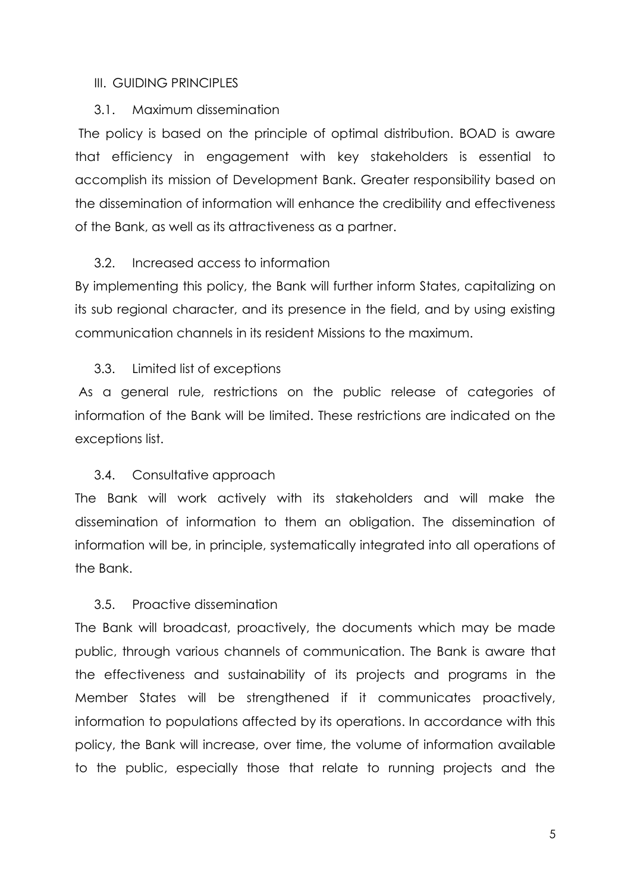#### III. GUIDING PRINCIPLES

#### 3.1. Maximum dissemination

The policy is based on the principle of optimal distribution. BOAD is aware that efficiency in engagement with key stakeholders is essential to accomplish its mission of Development Bank. Greater responsibility based on the dissemination of information will enhance the credibility and effectiveness of the Bank, as well as its attractiveness as a partner.

#### 3.2. Increased access to information

By implementing this policy, the Bank will further inform States, capitalizing on its sub regional character, and its presence in the field, and by using existing communication channels in its resident Missions to the maximum.

#### 3.3. Limited list of exceptions

As a general rule, restrictions on the public release of categories of information of the Bank will be limited. These restrictions are indicated on the exceptions list.

#### 3.4. Consultative approach

The Bank will work actively with its stakeholders and will make the dissemination of information to them an obligation. The dissemination of information will be, in principle, systematically integrated into all operations of the Bank.

#### 3.5. Proactive dissemination

The Bank will broadcast, proactively, the documents which may be made public, through various channels of communication. The Bank is aware that the effectiveness and sustainability of its projects and programs in the Member States will be strengthened if it communicates proactively, information to populations affected by its operations. In accordance with this policy, the Bank will increase, over time, the volume of information available to the public, especially those that relate to running projects and the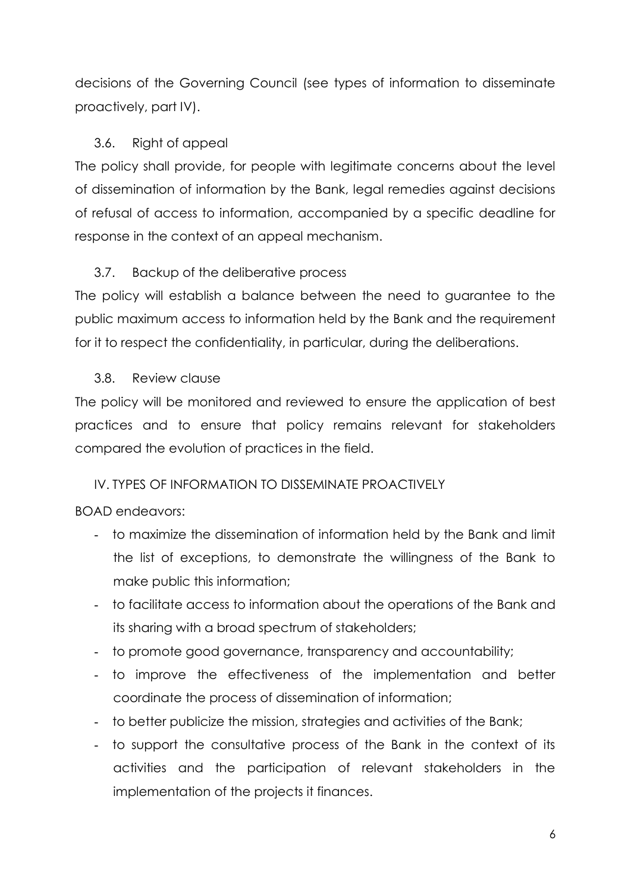decisions of the Governing Council (see types of information to disseminate proactively, part IV).

### 3.6. Right of appeal

The policy shall provide, for people with legitimate concerns about the level of dissemination of information by the Bank, legal remedies against decisions of refusal of access to information, accompanied by a specific deadline for response in the context of an appeal mechanism.

## 3.7. Backup of the deliberative process

The policy will establish a balance between the need to guarantee to the public maximum access to information held by the Bank and the requirement for it to respect the confidentiality, in particular, during the deliberations.

#### 3.8. Review clause

The policy will be monitored and reviewed to ensure the application of best practices and to ensure that policy remains relevant for stakeholders compared the evolution of practices in the field.

## IV. TYPES OF INFORMATION TO DISSEMINATE PROACTIVELY

## BOAD endeavors:

- to maximize the dissemination of information held by the Bank and limit the list of exceptions, to demonstrate the willingness of the Bank to make public this information;
- to facilitate access to information about the operations of the Bank and its sharing with a broad spectrum of stakeholders;
- to promote good governance, transparency and accountability;
- to improve the effectiveness of the implementation and better coordinate the process of dissemination of information;
- to better publicize the mission, strategies and activities of the Bank;
- to support the consultative process of the Bank in the context of its activities and the participation of relevant stakeholders in the implementation of the projects it finances.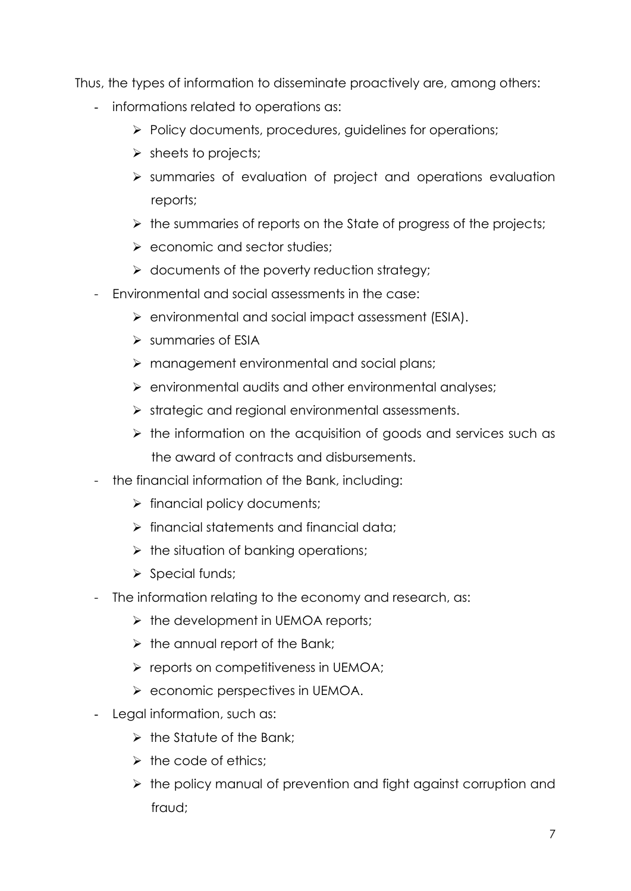Thus, the types of information to disseminate proactively are, among others:

- informations related to operations as:
	- $\triangleright$  Policy documents, procedures, guidelines for operations;
	- $\triangleright$  sheets to projects;
	- $\triangleright$  summaries of evaluation of project and operations evaluation reports;
	- $\triangleright$  the summaries of reports on the State of progress of the projects;
	- $\triangleright$  economic and sector studies:
	- $\triangleright$  documents of the poverty reduction strategy;
- Environmental and social assessments in the case:
	- environmental and social impact assessment (ESIA).
	- $\triangleright$  summaries of ESIA
	- $\triangleright$  management environmental and social plans;
	- $\triangleright$  environmental audits and other environmental analyses;
	- $\triangleright$  strategic and regional environmental assessments.
	- $\triangleright$  the information on the acquisition of goods and services such as the award of contracts and disbursements.
- the financial information of the Bank, including:
	- $\triangleright$  financial policy documents;
	- $\triangleright$  financial statements and financial data:
	- $\triangleright$  the situation of banking operations;
	- $\triangleright$  Special funds;
- The information relating to the economy and research, as:
	- $\triangleright$  the development in UEMOA reports;
	- $\triangleright$  the annual report of the Bank;
	- $\triangleright$  reports on competitiveness in UEMOA;
	- $\triangleright$  economic perspectives in UEMOA.
- Legal information, such as:
	- $\triangleright$  the Statute of the Bank:
	- $\triangleright$  the code of ethics:
	- $\triangleright$  the policy manual of prevention and fight against corruption and fraud;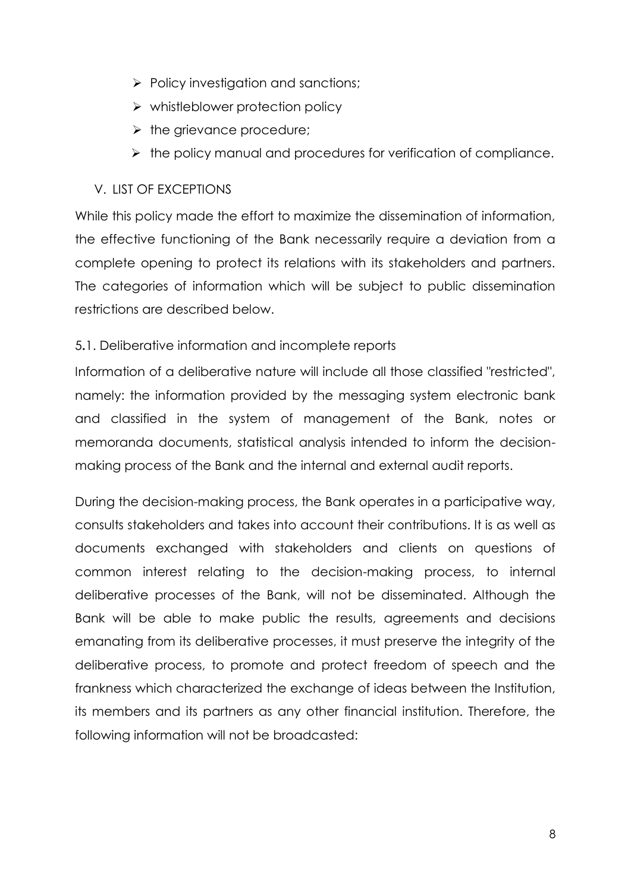- $\triangleright$  Policy investigation and sanctions;
- $\triangleright$  whistleblower protection policy
- $\triangleright$  the grievance procedure;
- $\triangleright$  the policy manual and procedures for verification of compliance.

## V. LIST OF EXCEPTIONS

While this policy made the effort to maximize the dissemination of information, the effective functioning of the Bank necessarily require a deviation from a complete opening to protect its relations with its stakeholders and partners. The categories of information which will be subject to public dissemination restrictions are described below.

## 5**.**1. Deliberative information and incomplete reports

Information of a deliberative nature will include all those classified "restricted", namely: the information provided by the messaging system electronic bank and classified in the system of management of the Bank, notes or memoranda documents, statistical analysis intended to inform the decisionmaking process of the Bank and the internal and external audit reports.

During the decision-making process, the Bank operates in a participative way, consults stakeholders and takes into account their contributions. It is as well as documents exchanged with stakeholders and clients on questions of common interest relating to the decision-making process, to internal deliberative processes of the Bank, will not be disseminated. Although the Bank will be able to make public the results, agreements and decisions emanating from its deliberative processes, it must preserve the integrity of the deliberative process, to promote and protect freedom of speech and the frankness which characterized the exchange of ideas between the Institution, its members and its partners as any other financial institution. Therefore, the following information will not be broadcasted: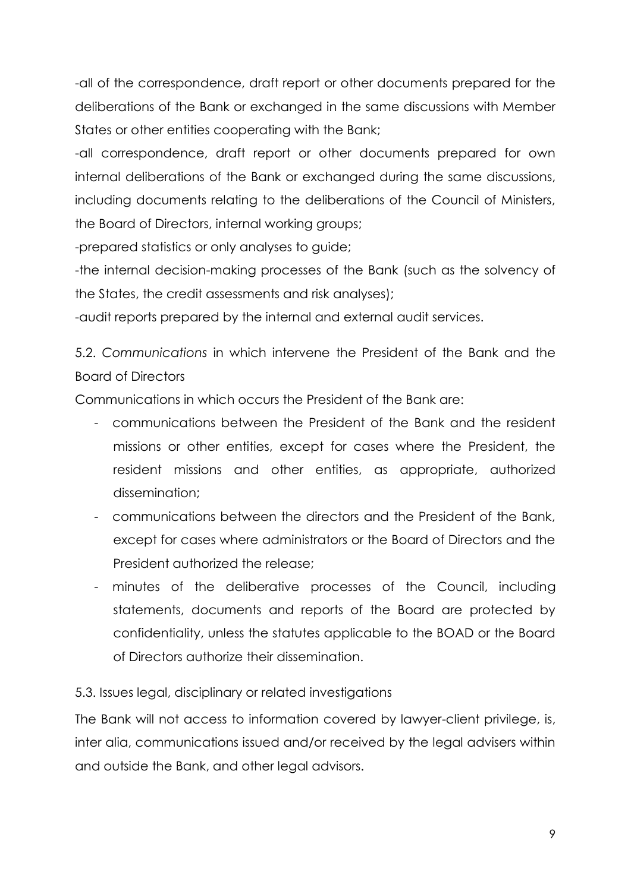-all of the correspondence, draft report or other documents prepared for the deliberations of the Bank or exchanged in the same discussions with Member States or other entities cooperating with the Bank;

-all correspondence, draft report or other documents prepared for own internal deliberations of the Bank or exchanged during the same discussions, including documents relating to the deliberations of the Council of Ministers, the Board of Directors, internal working groups;

-prepared statistics or only analyses to guide;

-the internal decision-making processes of the Bank (such as the solvency of the States, the credit assessments and risk analyses);

-audit reports prepared by the internal and external audit services.

5.2. *Communications* in which intervene the President of the Bank and the Board of Directors

Communications in which occurs the President of the Bank are:

- communications between the President of the Bank and the resident missions or other entities, except for cases where the President, the resident missions and other entities, as appropriate, authorized dissemination;
- communications between the directors and the President of the Bank, except for cases where administrators or the Board of Directors and the President authorized the release;
- minutes of the deliberative processes of the Council, including statements, documents and reports of the Board are protected by confidentiality, unless the statutes applicable to the BOAD or the Board of Directors authorize their dissemination.

## 5.3. Issues legal, disciplinary or related investigations

The Bank will not access to information covered by lawyer-client privilege, is, inter alia, communications issued and/or received by the legal advisers within and outside the Bank, and other legal advisors.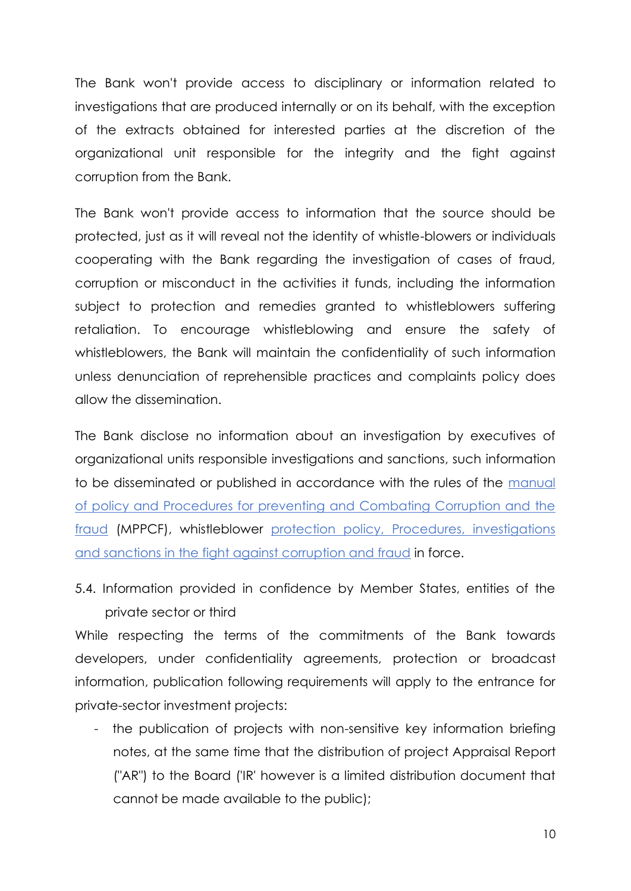The Bank won't provide access to disciplinary or information related to investigations that are produced internally or on its behalf, with the exception of the extracts obtained for interested parties at the discretion of the organizational unit responsible for the integrity and the fight against corruption from the Bank.

The Bank won't provide access to information that the source should be protected, just as it will reveal not the identity of whistle-blowers or individuals cooperating with the Bank regarding the investigation of cases of fraud, corruption or misconduct in the activities it funds, including the information subject to protection and remedies granted to whistleblowers suffering retaliation. To encourage whistleblowing and ensure the safety of whistleblowers, the Bank will maintain the confidentiality of such information unless denunciation of reprehensible practices and complaints policy does allow the dissemination.

The Bank disclose no information about an investigation by executives of organizational units responsible investigations and sanctions, such information to be disseminated or published in accordance with the rules of the manual of policy and Procedures for preventing and Combating Corruption and the fraud (MPPCF), whistleblower protection policy, Procedures, investigations and sanctions in the fight against corruption and fraud in force.

5.4. Information provided in confidence by Member States, entities of the private sector or third

While respecting the terms of the commitments of the Bank towards developers, under confidentiality agreements, protection or broadcast information, publication following requirements will apply to the entrance for private-sector investment projects:

- the publication of projects with non-sensitive key information briefing notes, at the same time that the distribution of project Appraisal Report ("AR") to the Board ('IR' however is a limited distribution document that cannot be made available to the public);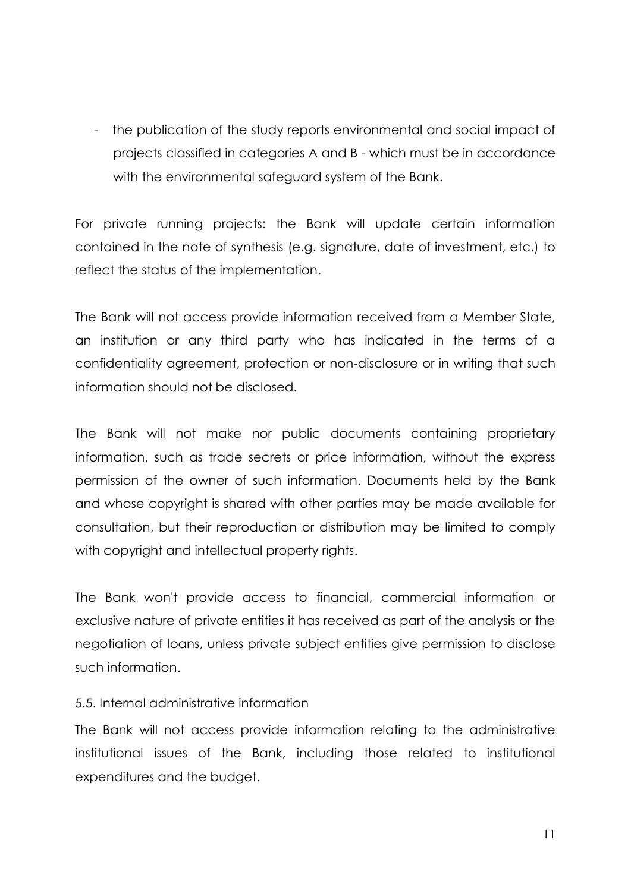- the publication of the study reports environmental and social impact of projects classified in categories A and B - which must be in accordance with the environmental safeguard system of the Bank.

For private running projects: the Bank will update certain information contained in the note of synthesis (e.g. signature, date of investment, etc.) to reflect the status of the implementation.

The Bank will not access provide information received from a Member State, an institution or any third party who has indicated in the terms of a confidentiality agreement, protection or non-disclosure or in writing that such information should not be disclosed.

The Bank will not make nor public documents containing proprietary information, such as trade secrets or price information, without the express permission of the owner of such information. Documents held by the Bank and whose copyright is shared with other parties may be made available for consultation, but their reproduction or distribution may be limited to comply with copyright and intellectual property rights.

The Bank won't provide access to financial, commercial information or exclusive nature of private entities it has received as part of the analysis or the negotiation of loans, unless private subject entities give permission to disclose such information.

#### 5.5. Internal administrative information

The Bank will not access provide information relating to the administrative institutional issues of the Bank, including those related to institutional expenditures and the budget.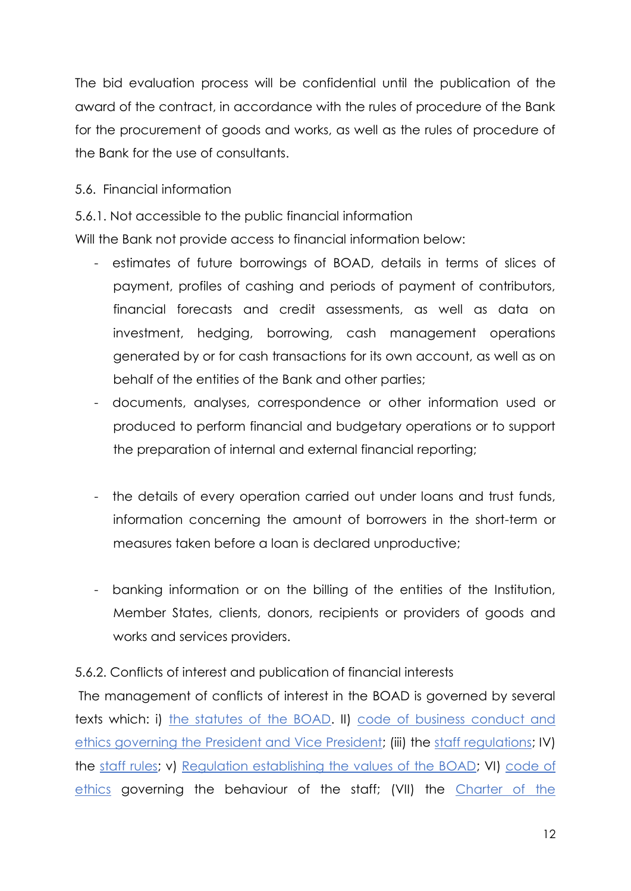The bid evaluation process will be confidential until the publication of the award of the contract, in accordance with the rules of procedure of the Bank for the procurement of goods and works, as well as the rules of procedure of the Bank for the use of consultants.

### 5.6. Financial information

5.6.1. Not accessible to the public financial information

Will the Bank not provide access to financial information below:

- estimates of future borrowings of BOAD, details in terms of slices of payment, profiles of cashing and periods of payment of contributors, financial forecasts and credit assessments, as well as data on investment, hedging, borrowing, cash management operations generated by or for cash transactions for its own account, as well as on behalf of the entities of the Bank and other parties;
- documents, analyses, correspondence or other information used or produced to perform financial and budgetary operations or to support the preparation of internal and external financial reporting;
- the details of every operation carried out under loans and trust funds, information concerning the amount of borrowers in the short-term or measures taken before a loan is declared unproductive;
- banking information or on the billing of the entities of the Institution, Member States, clients, donors, recipients or providers of goods and works and services providers.

## 5.6.2. Conflicts of interest and publication of financial interests

The management of conflicts of interest in the BOAD is governed by several texts which: i) the statutes of the BOAD. II) code of business conduct and ethics governing the President and Vice President; (iii) the staff regulations; IV) the staff rules; v) Regulation establishing the values of the BOAD; VI) code of ethics governing the behaviour of the staff; (VII) the Charter of the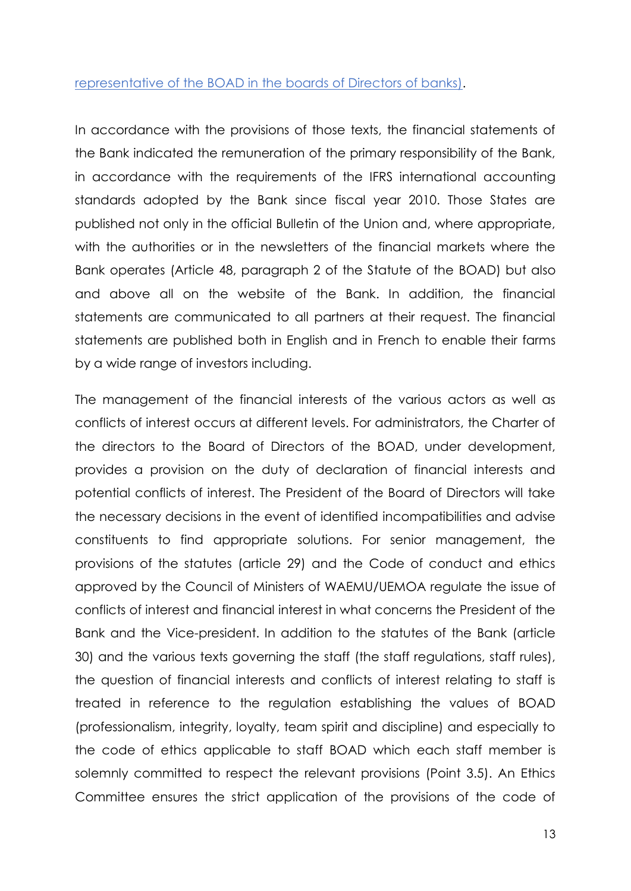#### representative of the BOAD in the boards of Directors of banks).

In accordance with the provisions of those texts, the financial statements of the Bank indicated the remuneration of the primary responsibility of the Bank, in accordance with the requirements of the IFRS international accounting standards adopted by the Bank since fiscal year 2010. Those States are published not only in the official Bulletin of the Union and, where appropriate, with the authorities or in the newsletters of the financial markets where the Bank operates (Article 48, paragraph 2 of the Statute of the BOAD) but also and above all on the website of the Bank. In addition, the financial statements are communicated to all partners at their request. The financial statements are published both in English and in French to enable their farms by a wide range of investors including.

The management of the financial interests of the various actors as well as conflicts of interest occurs at different levels. For administrators, the Charter of the directors to the Board of Directors of the BOAD, under development, provides a provision on the duty of declaration of financial interests and potential conflicts of interest. The President of the Board of Directors will take the necessary decisions in the event of identified incompatibilities and advise constituents to find appropriate solutions. For senior management, the provisions of the statutes (article 29) and the Code of conduct and ethics approved by the Council of Ministers of WAEMU/UEMOA regulate the issue of conflicts of interest and financial interest in what concerns the President of the Bank and the Vice-president. In addition to the statutes of the Bank (article 30) and the various texts governing the staff (the staff regulations, staff rules), the question of financial interests and conflicts of interest relating to staff is treated in reference to the regulation establishing the values of BOAD (professionalism, integrity, loyalty, team spirit and discipline) and especially to the code of ethics applicable to staff BOAD which each staff member is solemnly committed to respect the relevant provisions (Point 3.5). An Ethics Committee ensures the strict application of the provisions of the code of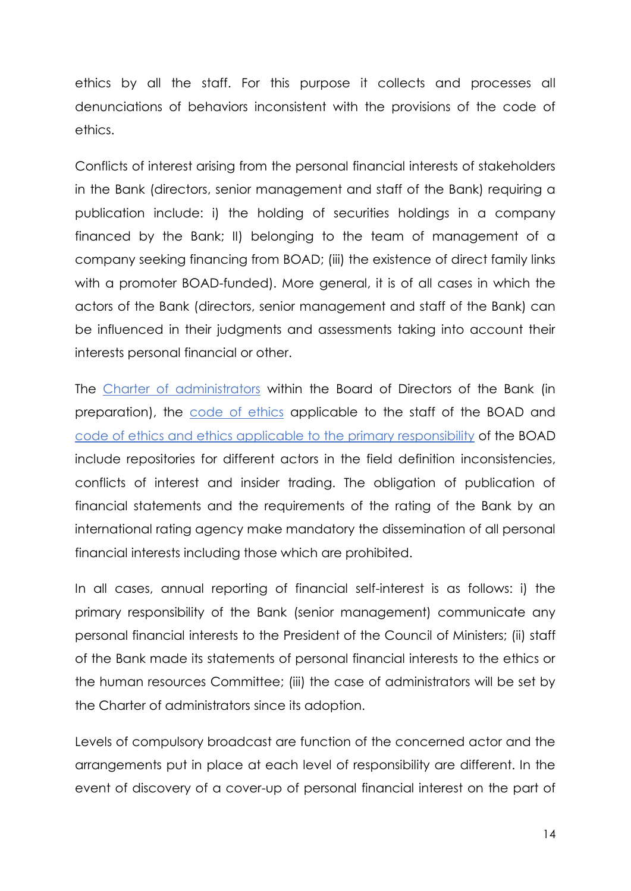ethics by all the staff. For this purpose it collects and processes all denunciations of behaviors inconsistent with the provisions of the code of ethics.

Conflicts of interest arising from the personal financial interests of stakeholders in the Bank (directors, senior management and staff of the Bank) requiring a publication include: i) the holding of securities holdings in a company financed by the Bank; II) belonging to the team of management of a company seeking financing from BOAD; (iii) the existence of direct family links with a promoter BOAD-funded). More general, it is of all cases in which the actors of the Bank (directors, senior management and staff of the Bank) can be influenced in their judgments and assessments taking into account their interests personal financial or other.

The Charter of administrators within the Board of Directors of the Bank (in preparation), the code of ethics applicable to the staff of the BOAD and code of ethics and ethics applicable to the primary responsibility of the BOAD include repositories for different actors in the field definition inconsistencies, conflicts of interest and insider trading. The obligation of publication of financial statements and the requirements of the rating of the Bank by an international rating agency make mandatory the dissemination of all personal financial interests including those which are prohibited.

In all cases, annual reporting of financial self-interest is as follows: i) the primary responsibility of the Bank (senior management) communicate any personal financial interests to the President of the Council of Ministers; (ii) staff of the Bank made its statements of personal financial interests to the ethics or the human resources Committee; (iii) the case of administrators will be set by the Charter of administrators since its adoption.

Levels of compulsory broadcast are function of the concerned actor and the arrangements put in place at each level of responsibility are different. In the event of discovery of a cover-up of personal financial interest on the part of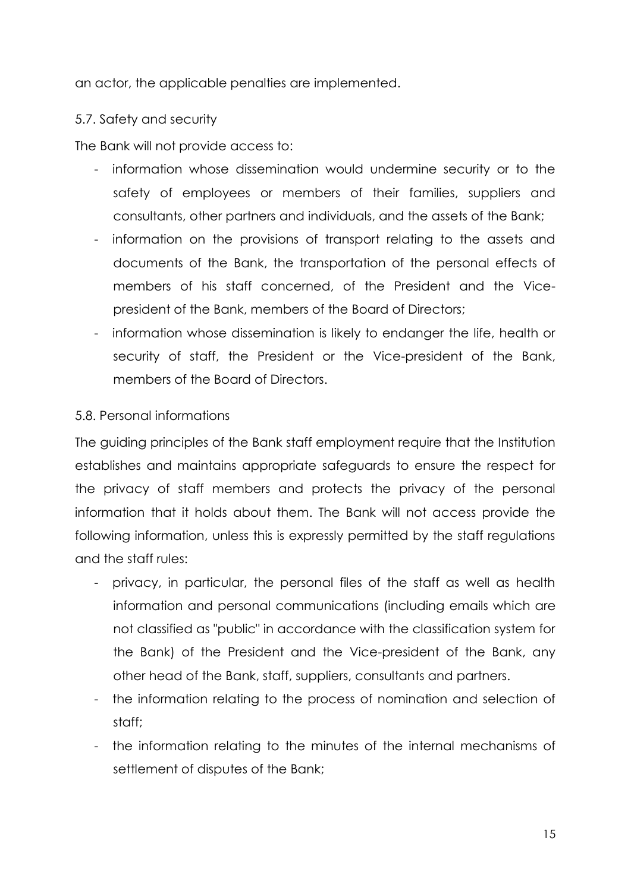an actor, the applicable penalties are implemented.

## 5.7. Safety and security

The Bank will not provide access to:

- information whose dissemination would undermine security or to the safety of employees or members of their families, suppliers and consultants, other partners and individuals, and the assets of the Bank;
- information on the provisions of transport relating to the assets and documents of the Bank, the transportation of the personal effects of members of his staff concerned, of the President and the Vicepresident of the Bank, members of the Board of Directors;
- information whose dissemination is likely to endanger the life, health or security of staff, the President or the Vice-president of the Bank, members of the Board of Directors.

#### 5.8. Personal informations

The guiding principles of the Bank staff employment require that the Institution establishes and maintains appropriate safeguards to ensure the respect for the privacy of staff members and protects the privacy of the personal information that it holds about them. The Bank will not access provide the following information, unless this is expressly permitted by the staff regulations and the staff rules:

- privacy, in particular, the personal files of the staff as well as health information and personal communications (including emails which are not classified as "public" in accordance with the classification system for the Bank) of the President and the Vice-president of the Bank, any other head of the Bank, staff, suppliers, consultants and partners.
- the information relating to the process of nomination and selection of staff;
- the information relating to the minutes of the internal mechanisms of settlement of disputes of the Bank;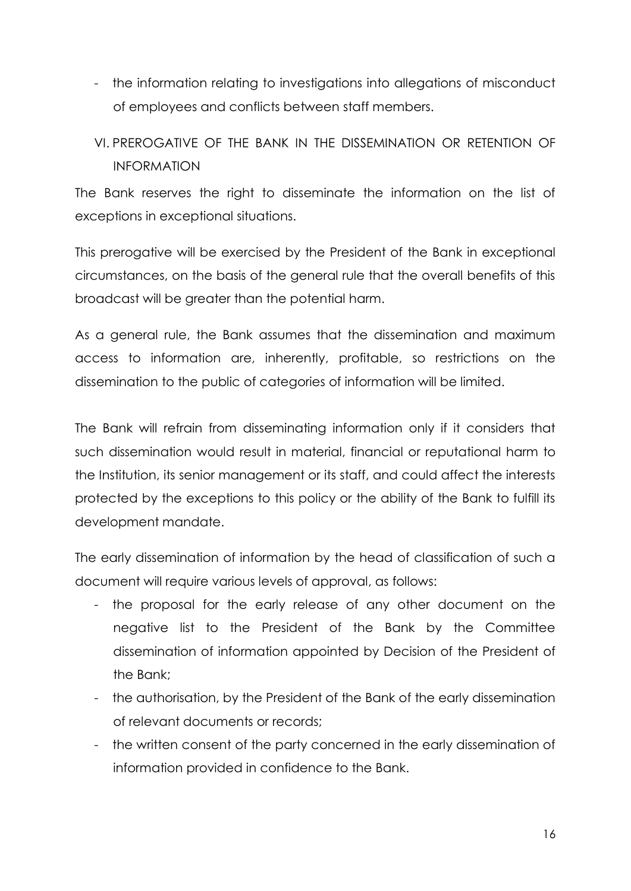- the information relating to investigations into allegations of misconduct of employees and conflicts between staff members.
- VI. PREROGATIVE OF THE BANK IN THE DISSEMINATION OR RETENTION OF INFORMATION

The Bank reserves the right to disseminate the information on the list of exceptions in exceptional situations.

This prerogative will be exercised by the President of the Bank in exceptional circumstances, on the basis of the general rule that the overall benefits of this broadcast will be greater than the potential harm.

As a general rule, the Bank assumes that the dissemination and maximum access to information are, inherently, profitable, so restrictions on the dissemination to the public of categories of information will be limited.

The Bank will refrain from disseminating information only if it considers that such dissemination would result in material, financial or reputational harm to the Institution, its senior management or its staff, and could affect the interests protected by the exceptions to this policy or the ability of the Bank to fulfill its development mandate.

The early dissemination of information by the head of classification of such a document will require various levels of approval, as follows:

- the proposal for the early release of any other document on the negative list to the President of the Bank by the Committee dissemination of information appointed by Decision of the President of the Bank;
- the authorisation, by the President of the Bank of the early dissemination of relevant documents or records;
- the written consent of the party concerned in the early dissemination of information provided in confidence to the Bank.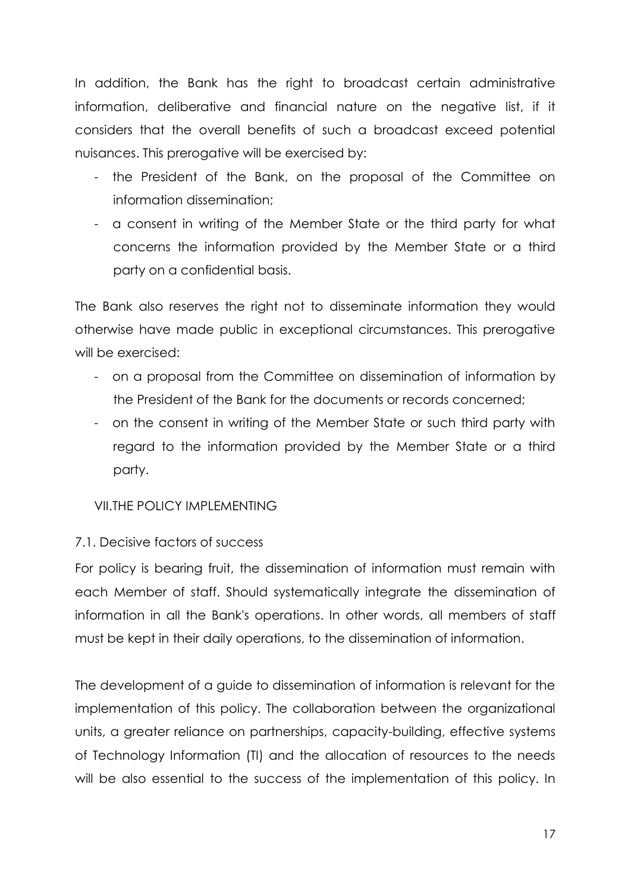In addition, the Bank has the right to broadcast certain administrative information, deliberative and financial nature on the negative list, if it considers that the overall benefits of such a broadcast exceed potential nuisances. This prerogative will be exercised by:

- the President of the Bank, on the proposal of the Committee on information dissemination;
- a consent in writing of the Member State or the third party for what concerns the information provided by the Member State or a third party on a confidential basis.

The Bank also reserves the right not to disseminate information they would otherwise have made public in exceptional circumstances. This prerogative will be exercised:

- on a proposal from the Committee on dissemination of information by the President of the Bank for the documents or records concerned;
- on the consent in writing of the Member State or such third party with regard to the information provided by the Member State or a third party.

## VII THE POLICY IMPI EMENTING

## 7.1. Decisive factors of success

For policy is bearing fruit, the dissemination of information must remain with each Member of staff. Should systematically integrate the dissemination of information in all the Bank's operations. In other words, all members of staff must be kept in their daily operations, to the dissemination of information.

The development of a guide to dissemination of information is relevant for the implementation of this policy. The collaboration between the organizational units, a greater reliance on partnerships, capacity-building, effective systems of Technology Information (TI) and the allocation of resources to the needs will be also essential to the success of the implementation of this policy. In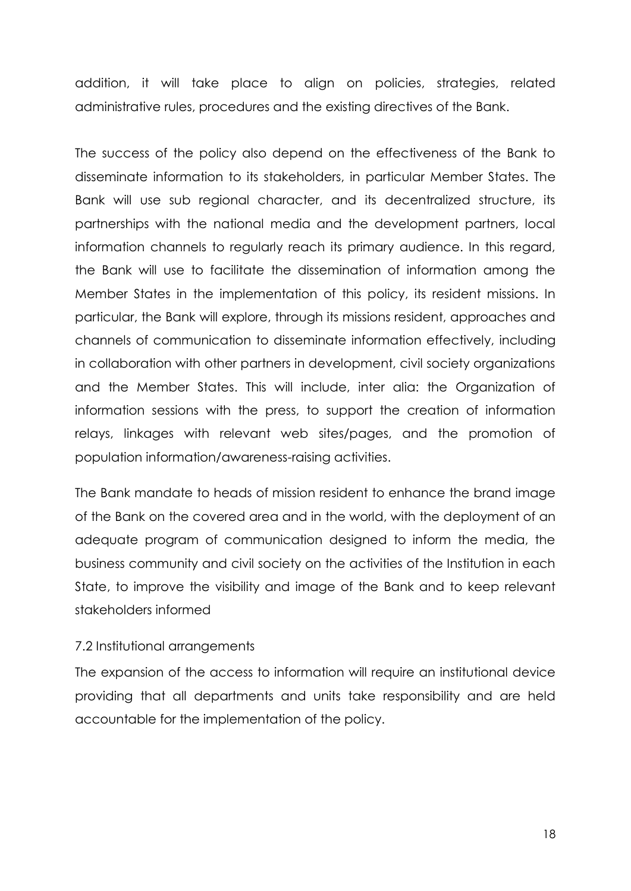addition, it will take place to align on policies, strategies, related administrative rules, procedures and the existing directives of the Bank.

The success of the policy also depend on the effectiveness of the Bank to disseminate information to its stakeholders, in particular Member States. The Bank will use sub regional character, and its decentralized structure, its partnerships with the national media and the development partners, local information channels to regularly reach its primary audience. In this regard, the Bank will use to facilitate the dissemination of information among the Member States in the implementation of this policy, its resident missions. In particular, the Bank will explore, through its missions resident, approaches and channels of communication to disseminate information effectively, including in collaboration with other partners in development, civil society organizations and the Member States. This will include, inter alia: the Organization of information sessions with the press, to support the creation of information relays, linkages with relevant web sites/pages, and the promotion of population information/awareness-raising activities.

The Bank mandate to heads of mission resident to enhance the brand image of the Bank on the covered area and in the world, with the deployment of an adequate program of communication designed to inform the media, the business community and civil society on the activities of the Institution in each State, to improve the visibility and image of the Bank and to keep relevant stakeholders informed

## 7.2 Institutional arrangements

The expansion of the access to information will require an institutional device providing that all departments and units take responsibility and are held accountable for the implementation of the policy.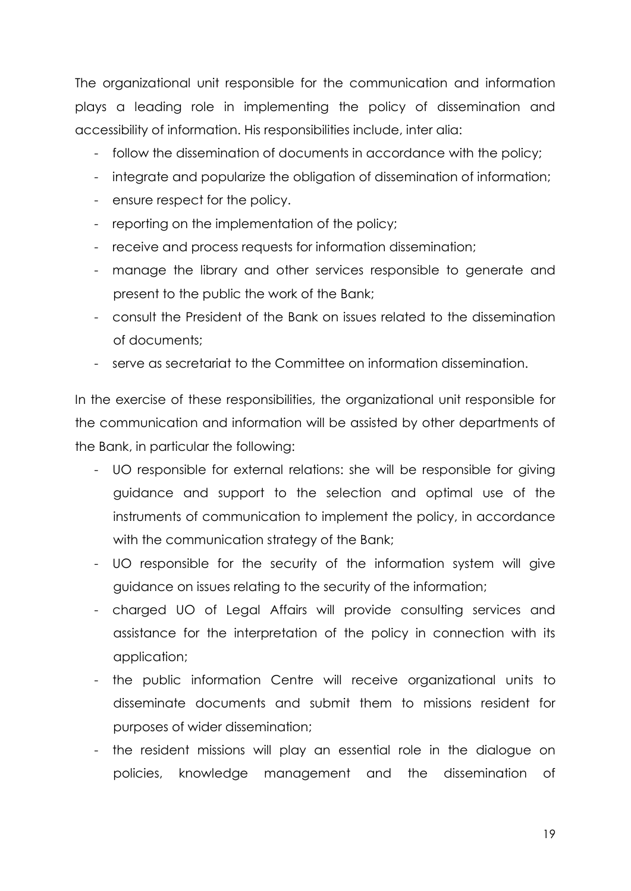The organizational unit responsible for the communication and information plays a leading role in implementing the policy of dissemination and accessibility of information. His responsibilities include, inter alia:

- follow the dissemination of documents in accordance with the policy;
- integrate and popularize the obligation of dissemination of information;
- ensure respect for the policy.
- reporting on the implementation of the policy;
- receive and process requests for information dissemination;
- manage the library and other services responsible to generate and present to the public the work of the Bank;
- consult the President of the Bank on issues related to the dissemination of documents;
- serve as secretariat to the Committee on information dissemination.

In the exercise of these responsibilities, the organizational unit responsible for the communication and information will be assisted by other departments of the Bank, in particular the following:

- UO responsible for external relations: she will be responsible for giving guidance and support to the selection and optimal use of the instruments of communication to implement the policy, in accordance with the communication strategy of the Bank:
- UO responsible for the security of the information system will give guidance on issues relating to the security of the information;
- charged UO of Legal Affairs will provide consulting services and assistance for the interpretation of the policy in connection with its application;
- the public information Centre will receive organizational units to disseminate documents and submit them to missions resident for purposes of wider dissemination;
- the resident missions will play an essential role in the dialogue on policies, knowledge management and the dissemination of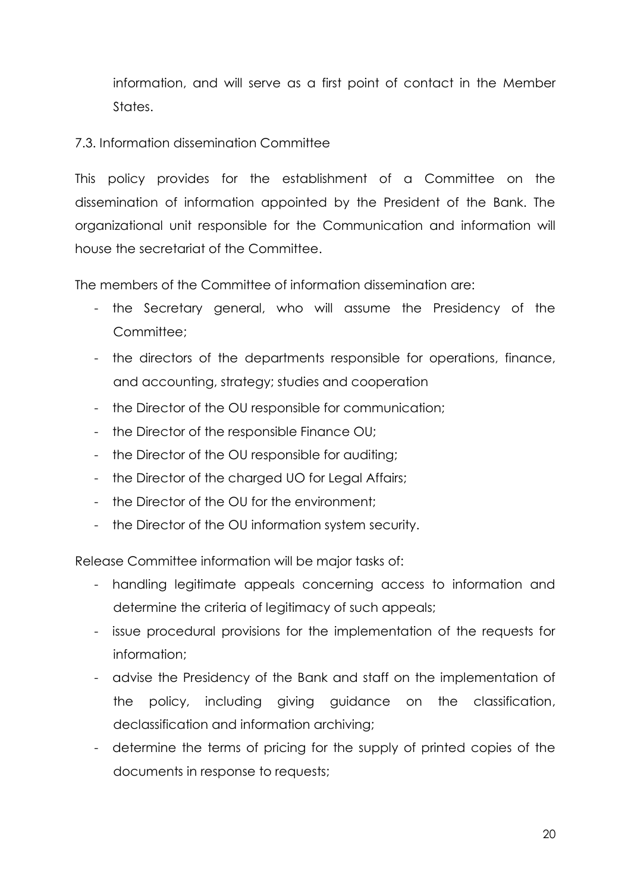information, and will serve as a first point of contact in the Member States.

## 7.3. Information dissemination Committee

This policy provides for the establishment of a Committee on the dissemination of information appointed by the President of the Bank. The organizational unit responsible for the Communication and information will house the secretariat of the Committee.

The members of the Committee of information dissemination are:

- the Secretary general, who will assume the Presidency of the Committee;
- the directors of the departments responsible for operations, finance, and accounting, strategy; studies and cooperation
- the Director of the OU responsible for communication;
- the Director of the responsible Finance OU;
- the Director of the OU responsible for auditing;
- the Director of the charged UO for Legal Affairs;
- the Director of the OU for the environment;
- the Director of the OU information system security.

Release Committee information will be major tasks of:

- handling legitimate appeals concerning access to information and determine the criteria of legitimacy of such appeals;
- issue procedural provisions for the implementation of the requests for information;
- advise the Presidency of the Bank and staff on the implementation of the policy, including giving guidance on the classification, declassification and information archiving;
- determine the terms of pricing for the supply of printed copies of the documents in response to requests;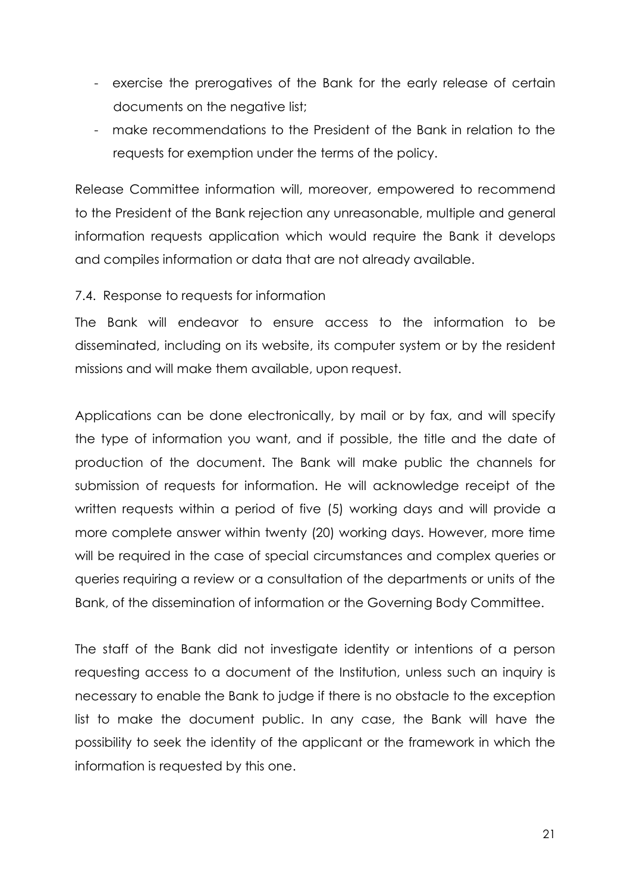- exercise the prerogatives of the Bank for the early release of certain documents on the negative list;
- make recommendations to the President of the Bank in relation to the requests for exemption under the terms of the policy.

Release Committee information will, moreover, empowered to recommend to the President of the Bank rejection any unreasonable, multiple and general information requests application which would require the Bank it develops and compiles information or data that are not already available.

#### 7.4. Response to requests for information

The Bank will endeavor to ensure access to the information to be disseminated, including on its website, its computer system or by the resident missions and will make them available, upon request.

Applications can be done electronically, by mail or by fax, and will specify the type of information you want, and if possible, the title and the date of production of the document. The Bank will make public the channels for submission of requests for information. He will acknowledge receipt of the written requests within a period of five (5) working days and will provide a more complete answer within twenty (20) working days. However, more time will be required in the case of special circumstances and complex queries or queries requiring a review or a consultation of the departments or units of the Bank, of the dissemination of information or the Governing Body Committee.

The staff of the Bank did not investigate identity or intentions of a person requesting access to a document of the Institution, unless such an inquiry is necessary to enable the Bank to judge if there is no obstacle to the exception list to make the document public. In any case, the Bank will have the possibility to seek the identity of the applicant or the framework in which the information is requested by this one.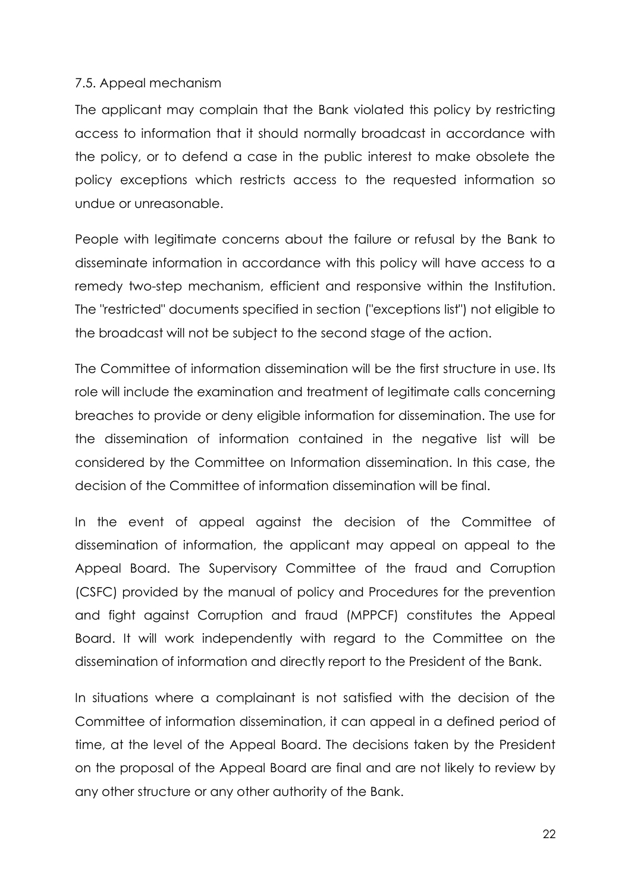#### 7.5. Appeal mechanism

The applicant may complain that the Bank violated this policy by restricting access to information that it should normally broadcast in accordance with the policy, or to defend a case in the public interest to make obsolete the policy exceptions which restricts access to the requested information so undue or unreasonable.

People with legitimate concerns about the failure or refusal by the Bank to disseminate information in accordance with this policy will have access to a remedy two-step mechanism, efficient and responsive within the Institution. The "restricted" documents specified in section ("exceptions list") not eligible to the broadcast will not be subject to the second stage of the action.

The Committee of information dissemination will be the first structure in use. Its role will include the examination and treatment of legitimate calls concerning breaches to provide or deny eligible information for dissemination. The use for the dissemination of information contained in the negative list will be considered by the Committee on Information dissemination. In this case, the decision of the Committee of information dissemination will be final.

In the event of appeal against the decision of the Committee of dissemination of information, the applicant may appeal on appeal to the Appeal Board. The Supervisory Committee of the fraud and Corruption (CSFC) provided by the manual of policy and Procedures for the prevention and fight against Corruption and fraud (MPPCF) constitutes the Appeal Board. It will work independently with regard to the Committee on the dissemination of information and directly report to the President of the Bank.

In situations where a complainant is not satisfied with the decision of the Committee of information dissemination, it can appeal in a defined period of time, at the level of the Appeal Board. The decisions taken by the President on the proposal of the Appeal Board are final and are not likely to review by any other structure or any other authority of the Bank.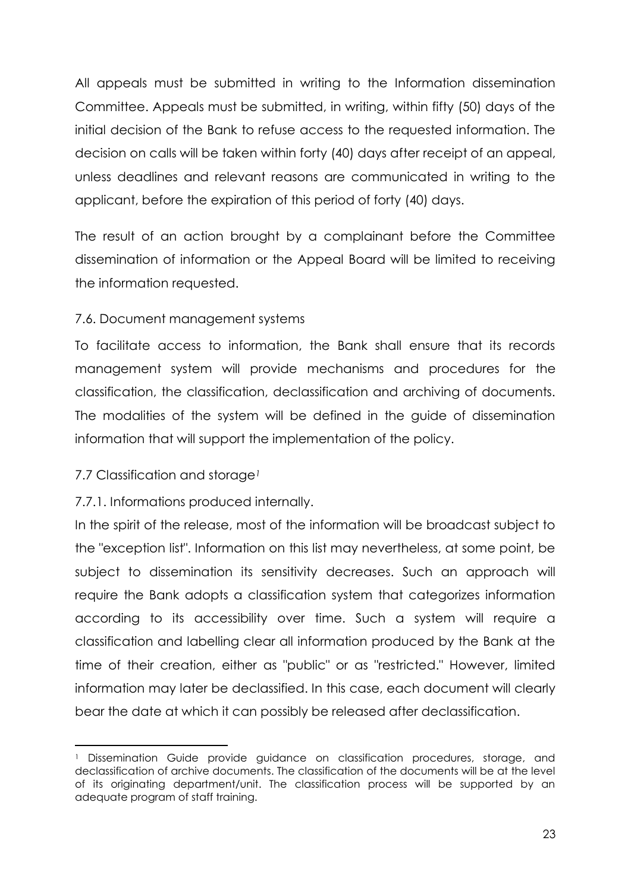All appeals must be submitted in writing to the Information dissemination Committee. Appeals must be submitted, in writing, within fifty (50) days of the initial decision of the Bank to refuse access to the requested information. The decision on calls will be taken within forty (40) days after receipt of an appeal, unless deadlines and relevant reasons are communicated in writing to the applicant, before the expiration of this period of forty (40) days.

The result of an action brought by a complainant before the Committee dissemination of information or the Appeal Board will be limited to receiving the information requested.

## 7.6. Document management systems

To facilitate access to information, the Bank shall ensure that its records management system will provide mechanisms and procedures for the classification, the classification, declassification and archiving of documents. The modalities of the system will be defined in the guide of dissemination information that will support the implementation of the policy.

# 7.7 Classification and storage*<sup>1</sup>*

**.** 

# 7.7.1. Informations produced internally.

In the spirit of the release, most of the information will be broadcast subject to the "exception list". Information on this list may nevertheless, at some point, be subject to dissemination its sensitivity decreases. Such an approach will require the Bank adopts a classification system that categorizes information according to its accessibility over time. Such a system will require a classification and labelling clear all information produced by the Bank at the time of their creation, either as "public" or as "restricted." However, limited information may later be declassified. In this case, each document will clearly bear the date at which it can possibly be released after declassification.

<sup>1</sup> Dissemination Guide provide guidance on classification procedures, storage, and declassification of archive documents. The classification of the documents will be at the level of its originating department/unit. The classification process will be supported by an adequate program of staff training.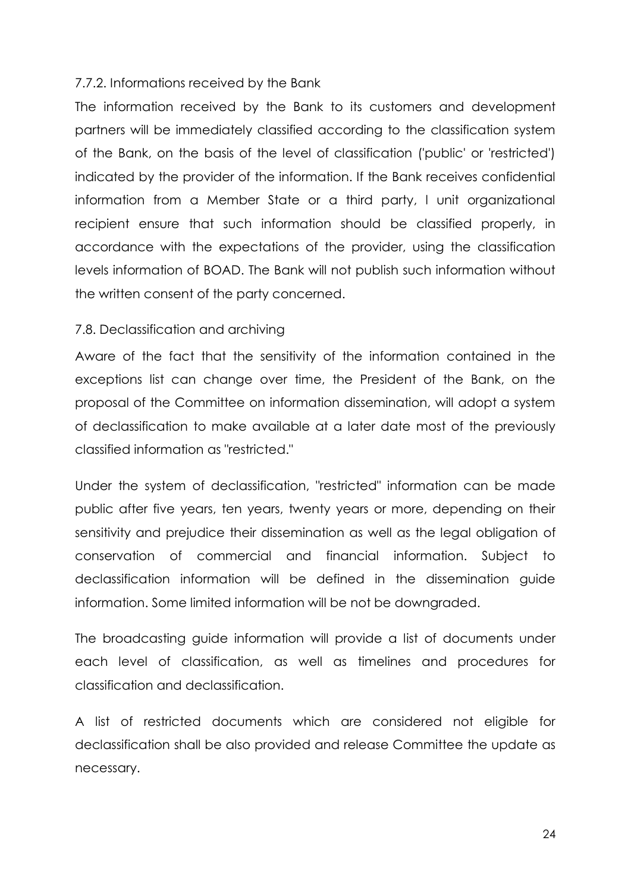#### 7.7.2. Informations received by the Bank

The information received by the Bank to its customers and development partners will be immediately classified according to the classification system of the Bank, on the basis of the level of classification ('public' or 'restricted') indicated by the provider of the information. If the Bank receives confidential information from a Member State or a third party, l unit organizational recipient ensure that such information should be classified properly, in accordance with the expectations of the provider, using the classification levels information of BOAD. The Bank will not publish such information without the written consent of the party concerned.

#### 7.8. Declassification and archiving

Aware of the fact that the sensitivity of the information contained in the exceptions list can change over time, the President of the Bank, on the proposal of the Committee on information dissemination, will adopt a system of declassification to make available at a later date most of the previously classified information as "restricted."

Under the system of declassification, "restricted" information can be made public after five years, ten years, twenty years or more, depending on their sensitivity and prejudice their dissemination as well as the legal obligation of conservation of commercial and financial information. Subject to declassification information will be defined in the dissemination guide information. Some limited information will be not be downgraded.

The broadcasting guide information will provide a list of documents under each level of classification, as well as timelines and procedures for classification and declassification.

A list of restricted documents which are considered not eligible for declassification shall be also provided and release Committee the update as necessary.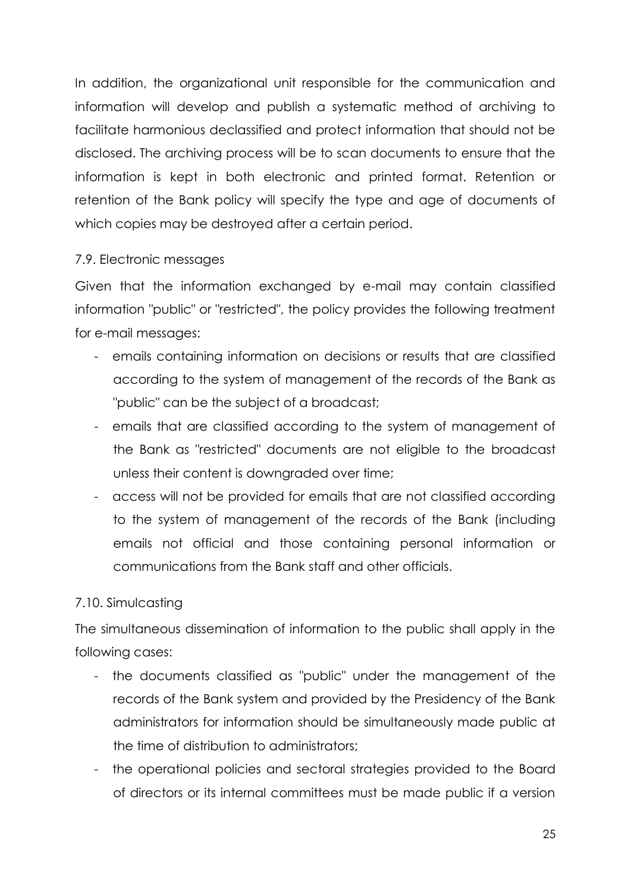In addition, the organizational unit responsible for the communication and information will develop and publish a systematic method of archiving to facilitate harmonious declassified and protect information that should not be disclosed. The archiving process will be to scan documents to ensure that the information is kept in both electronic and printed format. Retention or retention of the Bank policy will specify the type and age of documents of which copies may be destroyed after a certain period.

#### 7.9. Electronic messages

Given that the information exchanged by e-mail may contain classified information "public" or "restricted", the policy provides the following treatment for e-mail messages:

- emails containing information on decisions or results that are classified according to the system of management of the records of the Bank as "public" can be the subject of a broadcast;
- emails that are classified according to the system of management of the Bank as "restricted" documents are not eligible to the broadcast unless their content is downgraded over time;
- access will not be provided for emails that are not classified according to the system of management of the records of the Bank (including emails not official and those containing personal information or communications from the Bank staff and other officials.

## 7.10. Simulcasting

The simultaneous dissemination of information to the public shall apply in the following cases:

- the documents classified as "public" under the management of the records of the Bank system and provided by the Presidency of the Bank administrators for information should be simultaneously made public at the time of distribution to administrators;
- the operational policies and sectoral strategies provided to the Board of directors or its internal committees must be made public if a version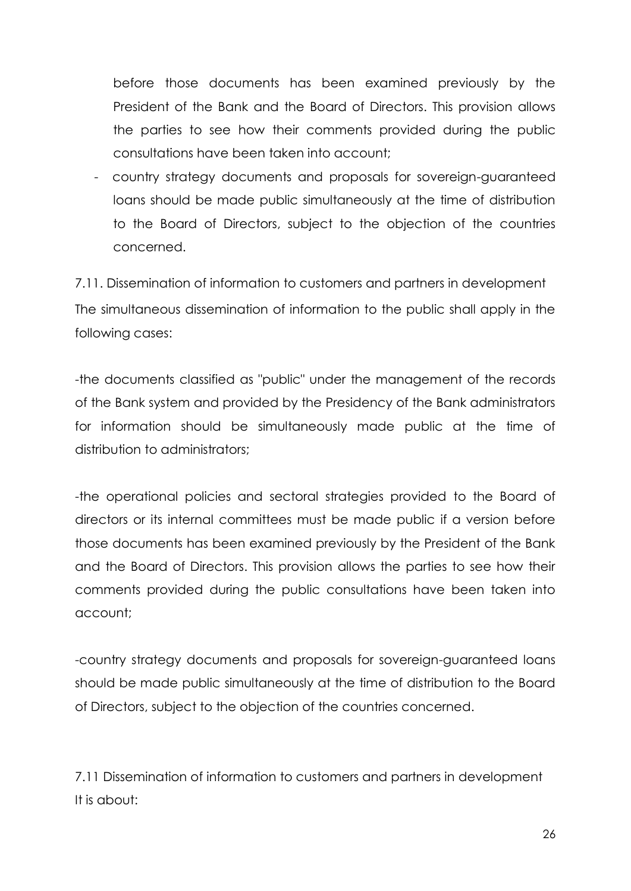before those documents has been examined previously by the President of the Bank and the Board of Directors. This provision allows the parties to see how their comments provided during the public consultations have been taken into account;

- country strategy documents and proposals for sovereign-guaranteed loans should be made public simultaneously at the time of distribution to the Board of Directors, subject to the objection of the countries concerned.

7.11. Dissemination of information to customers and partners in development The simultaneous dissemination of information to the public shall apply in the following cases:

-the documents classified as "public" under the management of the records of the Bank system and provided by the Presidency of the Bank administrators for information should be simultaneously made public at the time of distribution to administrators;

-the operational policies and sectoral strategies provided to the Board of directors or its internal committees must be made public if a version before those documents has been examined previously by the President of the Bank and the Board of Directors. This provision allows the parties to see how their comments provided during the public consultations have been taken into account;

-country strategy documents and proposals for sovereign-guaranteed loans should be made public simultaneously at the time of distribution to the Board of Directors, subject to the objection of the countries concerned.

7.11 Dissemination of information to customers and partners in development It is about: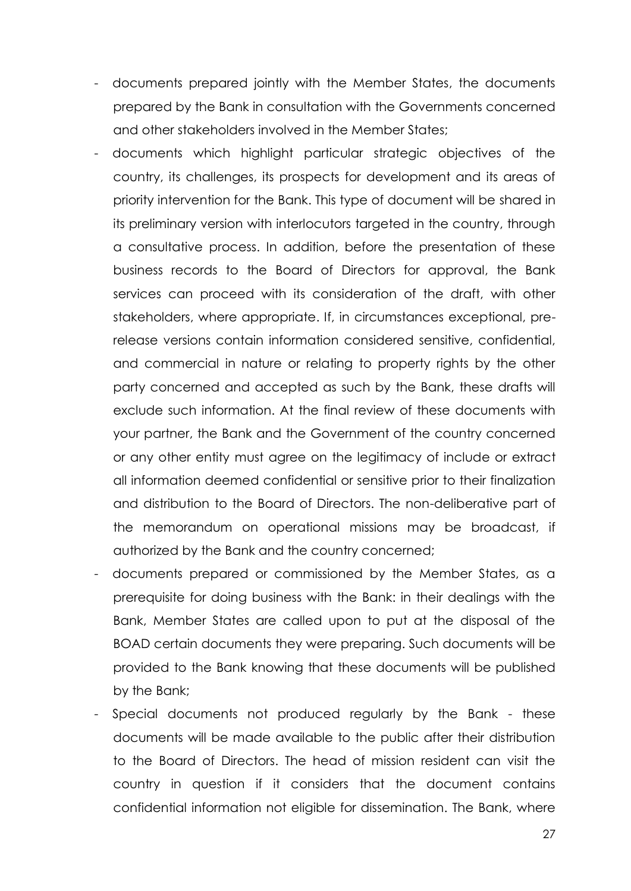- documents prepared jointly with the Member States, the documents prepared by the Bank in consultation with the Governments concerned and other stakeholders involved in the Member States;
- documents which highlight particular strategic objectives of the country, its challenges, its prospects for development and its areas of priority intervention for the Bank. This type of document will be shared in its preliminary version with interlocutors targeted in the country, through a consultative process. In addition, before the presentation of these business records to the Board of Directors for approval, the Bank services can proceed with its consideration of the draft, with other stakeholders, where appropriate. If, in circumstances exceptional, prerelease versions contain information considered sensitive, confidential, and commercial in nature or relating to property rights by the other party concerned and accepted as such by the Bank, these drafts will exclude such information. At the final review of these documents with your partner, the Bank and the Government of the country concerned or any other entity must agree on the legitimacy of include or extract all information deemed confidential or sensitive prior to their finalization and distribution to the Board of Directors. The non-deliberative part of the memorandum on operational missions may be broadcast, if authorized by the Bank and the country concerned;
- documents prepared or commissioned by the Member States, as a prerequisite for doing business with the Bank: in their dealings with the Bank, Member States are called upon to put at the disposal of the BOAD certain documents they were preparing. Such documents will be provided to the Bank knowing that these documents will be published by the Bank;
- Special documents not produced regularly by the Bank these documents will be made available to the public after their distribution to the Board of Directors. The head of mission resident can visit the country in question if it considers that the document contains confidential information not eligible for dissemination. The Bank, where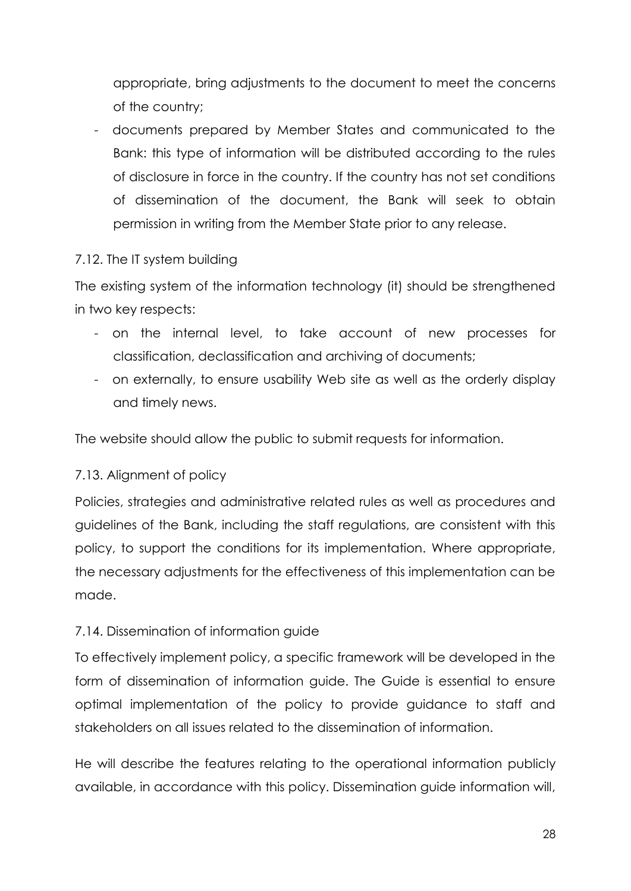appropriate, bring adjustments to the document to meet the concerns of the country;

- documents prepared by Member States and communicated to the Bank: this type of information will be distributed according to the rules of disclosure in force in the country. If the country has not set conditions of dissemination of the document, the Bank will seek to obtain permission in writing from the Member State prior to any release.

## 7.12. The IT system building

The existing system of the information technology (it) should be strengthened in two key respects:

- on the internal level, to take account of new processes for classification, declassification and archiving of documents;
- on externally, to ensure usability Web site as well as the orderly display and timely news.

The website should allow the public to submit requests for information.

## 7.13. Alignment of policy

Policies, strategies and administrative related rules as well as procedures and guidelines of the Bank, including the staff regulations, are consistent with this policy, to support the conditions for its implementation. Where appropriate, the necessary adjustments for the effectiveness of this implementation can be made.

# 7.14. Dissemination of information guide

To effectively implement policy, a specific framework will be developed in the form of dissemination of information guide. The Guide is essential to ensure optimal implementation of the policy to provide guidance to staff and stakeholders on all issues related to the dissemination of information.

He will describe the features relating to the operational information publicly available, in accordance with this policy. Dissemination guide information will,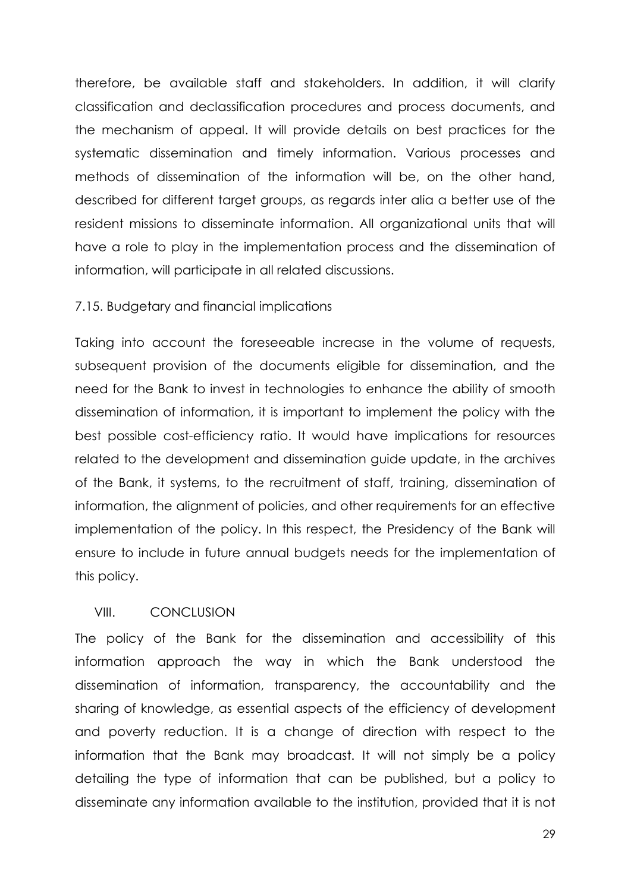therefore, be available staff and stakeholders. In addition, it will clarify classification and declassification procedures and process documents, and the mechanism of appeal. It will provide details on best practices for the systematic dissemination and timely information. Various processes and methods of dissemination of the information will be, on the other hand, described for different target groups, as regards inter alia a better use of the resident missions to disseminate information. All organizational units that will have a role to play in the implementation process and the dissemination of information, will participate in all related discussions.

#### 7.15. Budgetary and financial implications

Taking into account the foreseeable increase in the volume of requests, subsequent provision of the documents eligible for dissemination, and the need for the Bank to invest in technologies to enhance the ability of smooth dissemination of information, it is important to implement the policy with the best possible cost-efficiency ratio. It would have implications for resources related to the development and dissemination guide update, in the archives of the Bank, it systems, to the recruitment of staff, training, dissemination of information, the alignment of policies, and other requirements for an effective implementation of the policy. In this respect, the Presidency of the Bank will ensure to include in future annual budgets needs for the implementation of this policy.

#### VIII. CONCLUSION

The policy of the Bank for the dissemination and accessibility of this information approach the way in which the Bank understood the dissemination of information, transparency, the accountability and the sharing of knowledge, as essential aspects of the efficiency of development and poverty reduction. It is a change of direction with respect to the information that the Bank may broadcast. It will not simply be a policy detailing the type of information that can be published, but a policy to disseminate any information available to the institution, provided that it is not